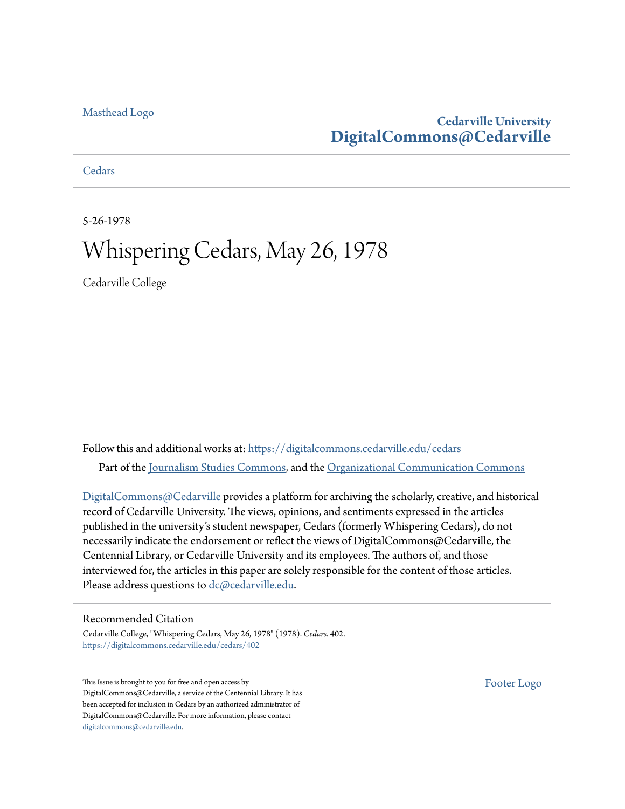#### [Masthead Logo](http://www.cedarville.edu/?utm_source=digitalcommons.cedarville.edu%2Fcedars%2F402&utm_medium=PDF&utm_campaign=PDFCoverPages)

### **Cedarville University [DigitalCommons@Cedarville](https://digitalcommons.cedarville.edu?utm_source=digitalcommons.cedarville.edu%2Fcedars%2F402&utm_medium=PDF&utm_campaign=PDFCoverPages)**

**[Cedars](https://digitalcommons.cedarville.edu/cedars?utm_source=digitalcommons.cedarville.edu%2Fcedars%2F402&utm_medium=PDF&utm_campaign=PDFCoverPages)** 

5-26-1978

# Whispering Cedars, May 26, 1978

Cedarville College

Follow this and additional works at: [https://digitalcommons.cedarville.edu/cedars](https://digitalcommons.cedarville.edu/cedars?utm_source=digitalcommons.cedarville.edu%2Fcedars%2F402&utm_medium=PDF&utm_campaign=PDFCoverPages) Part of the [Journalism Studies Commons](http://network.bepress.com/hgg/discipline/333?utm_source=digitalcommons.cedarville.edu%2Fcedars%2F402&utm_medium=PDF&utm_campaign=PDFCoverPages), and the [Organizational Communication Commons](http://network.bepress.com/hgg/discipline/335?utm_source=digitalcommons.cedarville.edu%2Fcedars%2F402&utm_medium=PDF&utm_campaign=PDFCoverPages)

[DigitalCommons@Cedarville](http://digitalcommons.cedarville.edu/) provides a platform for archiving the scholarly, creative, and historical record of Cedarville University. The views, opinions, and sentiments expressed in the articles published in the university's student newspaper, Cedars (formerly Whispering Cedars), do not necessarily indicate the endorsement or reflect the views of DigitalCommons@Cedarville, the Centennial Library, or Cedarville University and its employees. The authors of, and those interviewed for, the articles in this paper are solely responsible for the content of those articles. Please address questions to [dc@cedarville.edu.](mailto:dc@cedarville.edu)

#### Recommended Citation

Cedarville College, "Whispering Cedars, May 26, 1978" (1978). *Cedars*. 402. [https://digitalcommons.cedarville.edu/cedars/402](https://digitalcommons.cedarville.edu/cedars/402?utm_source=digitalcommons.cedarville.edu%2Fcedars%2F402&utm_medium=PDF&utm_campaign=PDFCoverPages)

This Issue is brought to you for free and open access by DigitalCommons@Cedarville, a service of the Centennial Library. It has been accepted for inclusion in Cedars by an authorized administrator of DigitalCommons@Cedarville. For more information, please contact [digitalcommons@cedarville.edu](mailto:digitalcommons@cedarville.edu).

[Footer Logo](http://www.cedarville.edu/Academics/Library.aspx?utm_source=digitalcommons.cedarville.edu%2Fcedars%2F402&utm_medium=PDF&utm_campaign=PDFCoverPages)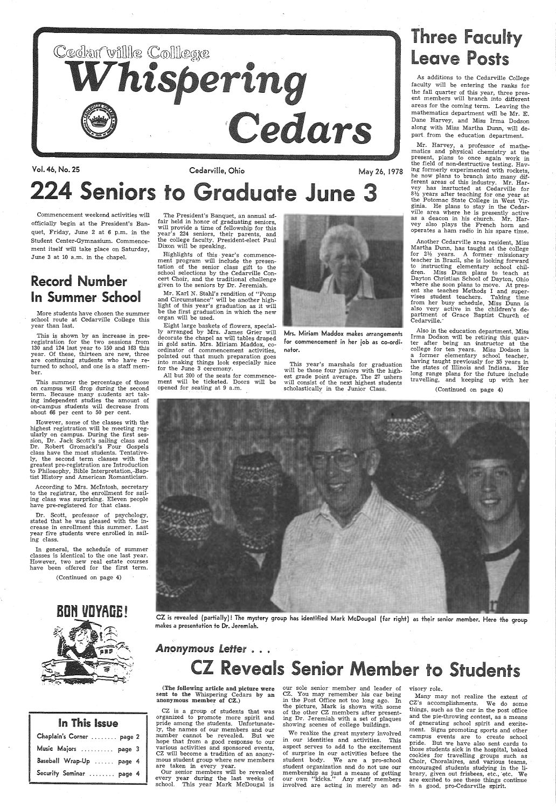

Vol. 46, No. 25 Cedarville, Ohio May 26, 1978

# 224 Seniors to Graduate June 3

# **Three Faculty** Leave Posts

As additions to the Cedarville College faculty will be entering the ranks for the fall quarter of this year, three present members will branch into different areas for the coming term. Leaving the mathematics department will be Mr. E. Dane Harvey, and Miss Irma Dodson along with Miss Martha Dunn, will depart. from the education department.

Mr. Harvey, a professor of mathematics and physical chemistry at the present, plans to once again work in<br>the field of non-destructive testing. Having formerly experimented with rockets,<br>he now plans to branch into many different areas of this industry. Mr. Harvey has insrtucted at Cedarville for  $8\frac{1}{2}$  years after teaching for one year at *3*<sup>1</sup> the Potomac State College in West Virginia. He plans to stay in the Cedarville area where he is presently active as a deacon in his church. Mr. Harvey also plays the French horn and operates a ham radio in his spare time.

Commencement weekend activities will officially begin at the President's Banquet, Friday, June 2 at 6 p.m. in the Student Center-Gymnasium. Commencement itself will take place on Saturday, June 3 at 10 a.m. in the chapel.

According to Mrs. McIntosh, secretary to the registrar, the enrollment for sailing class was surprising. Eleven people have pre-registered for that class.

## Record Number In Summer School

More students have chosen the summer school route at Cedarville College this year than last.

This is shown by an increase in pre registration for the two sessions from 130 and 124 last year to 150 and 163 this year. Of these, thirteen are new, three are continuing students who have returned to school, and one is a staff member.

This summer the percentage of those on campus will drop during the second term. Because many sudents art taking independent studies the amount of on-campus students will decrease from about 66 per cent to 50 per cent.

Eight large baskets of flowers, special-<br>ly arranged by Mrs. James Grier will<br>decorate the chapel as will tables draped in gold satin. Mrs. Miriam Maddox, coordinator of commencement activities, pointed out that much preparation goes into making things look especially nice for the June 3 ceremony.

All but 200 of the seats for commencement will be ticketed. Doors will be opened for seating at 9 a.m.



However, some of the classes with the ularly on campus. During the first ses-<br>sion, Dr. Jack Scott's sailing class and Dr. Robert Gromacki's Four Gospels class have the most students. Tentatively, the second term classes with the greatest pre-registration are Introduction to Philosophy, Bible Interpretation,-Bap- tist History and American Romanticism.

Another Cedarville area resident, Miss for  $2\frac{1}{2}$  years. A former missionary teacher in Brazil, she is looking forward to instructing elementary school children. Miss Dunn plans to teach at Dayton Christian School of Dayton, Ohio where she soon plans to move. At pres-<br>ent she teaches Methods I and supervises student teachers. Taking time<br>from her busy schedule, Miss Dunn is also very active in the children's department of Grace Baptist Church of Cedarville.1

Dr. Scott, professor of psychology, stated that he was pleased with the increase in enrollment this summer. Last year five students were enrolled in sailing class.

In general, the schedule of summer classes is identical to the one last year. However, two new real estate courses have been offered for the first term.

(Continued on page 4)



| In This Issue             |  |
|---------------------------|--|
| Chaplain's Corner  page 2 |  |
| Music Majors  page 3      |  |
| Baseball Wrap-Up  page 4  |  |
| Security Seminar  page 4  |  |

our sole senior member and leader of CZ. You may remember his car being in the Post Office not too long ago. In the picture, Mark is shown with some of the other CZ members after presenting Dr. Jeremiah with a set of plaques showing scenes of college buildings.

The President's Banquet, an annual affair held in honor of graduating seniors, will provide a time of fellowship for this<br>year's 224 seniors, their parents, and the college faculty. President-elect Paul Dixon will be speaking.

> We realize the great mystery involved in our identities and activities. This aspect serves to add to the excitement of surprise in our activities before the student body. We are a pro-school student organization and do not use our membership as just <sup>a</sup>means of getting our own "kicks." Any staff members involved are acting in merely an ad-

Highlights of this year's commencement program will include the presentation of the senior class gift to the school selections by the Cedarville Concert Choir, and the traditional challenge <sup>g</sup>iven to the seniors by Dr. Jeremiah.

Mr. Karl N. Stahl's rendition of "Pomp and Circumstance" will be another high- light of this year's graduation as it will be the first graduation in which the new organ will be used.

> Mrs. Miriam Maddox makes arrangements for commencement in her job as co-ordinator.

> This year's marshals for graduation will be those four juniors with the highest grade point average. The 27 ushers will consist of the next highest students scholastically in the Junior Class.

Also in the education department, Miss Irma Dodson will be retiring this quarter after being an instructor at the college for ten years. Miss Dodson is a former elementary school teacher, having taught previously for 35 years in the states of Illinois and Indiana. Her long range plans for the future include travelling, and keeping up with her

(Continued on page 4)



CZ is revealed (partially)! The mystery group has identified Mark McDougal (far right) as their senior member. Here the group makes a presentation to Dr. Jeremiah.

### Anonymous Letter . . .

# **Z Reveals Senior Member to Students**

(The following article and picture were sent to the Whispering Cedars by an anonymous member of CZ.)

CZ is <sup>a</sup>group of students that was organized to promote more spirit and pride among the students. Unfortunately, the names of our members and our number cannot be revealed. But we hope that from a §ood response to our various activities and sponsored events, CZ will become a tradition of an anonymous student group where new members are taken in every year.

Our senior members will be revealed every year during the last weeks of school. This year Mark McDougal is

visory role.

Many may not realize the extent of CZ's accomplishments. We do some things, such as the car in the post office and the pie-throwing contest, as a means of generating school spirit and excite ment. Signs promoting sports and other campus events are to create school pride. But we have also sent cards to those students sick in the hospital, baked<br>cookies for travelling groups such as Choir, Choralaires, and various teams, encouraged students studying in the library, given out frisbees, etc., etc. We are excited to see these things continue in a good, pro-Cedarville spirit.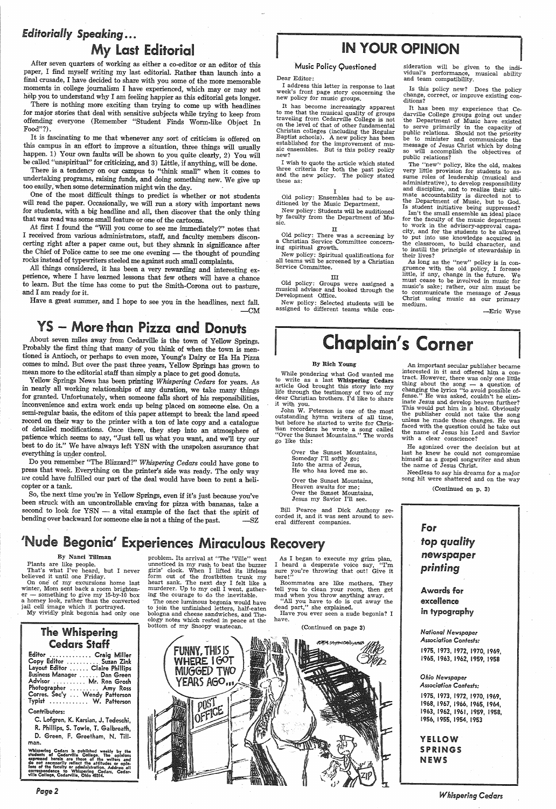### *Editorially Speaking ......*  My Last Editorial

After seven quarters of working as either a co-editor or an editor of this paper, I find myself writing my last editorial. Rather than launch into <sup>a</sup> final crusade, I have decided to share with you some of the more memorable

help you to understand why I am feeling happier as this editorial gets longer.<br>There is nothing more exciting than trying to come up with headlines<br>for major stories that deal with sensitive subjects while trying to keep f offending everyone (Remember "Student Finds Worm-like Object In Food"?).

It is fascinating to me that whenever any sort of criticism is offered on this campus in an effort to improve a situation, three things will usually happen. 1) Your own faults will be shown to you quite clearly, 2) You will be called "unspiritual" for criticizing, and 3) Little, if anything, will be done.<br>There is a tendency on our campus to "think small" when it comes

undertaking programs, raising funds, and doing something new. We give up too easily, when some determination might win the day.

One of the most difficult things to predict is whether or not students will read the paper. Occasionally, we will run a story with important news for students, with a big headline and all, then discover that the only thing that was read was some small feature or one of the cartoons.

At first I found the "Will you come to see me immediately?" notes that I received from various administrators, staff, and faculty members discon the Chief of Police came to see me one evening — the thought of pounding<br>rocks instead of typewriters steeled me against such small complaints.<br>All things considered, it has been a very rewarding and interesting ex-

Have a great summer, and I hope to see you in the headlines, next fall.  $-CM$ 

perience, where I have learned lessons that few others will have a chance to learn. But the time has come to put the Smith-Corona out to pasture, and I am ready for it.

It has become increasingly apparent to me that the musical quality of groups traveling from Cedarville College is not on the level of that of other fundamental Baptist schools). A new policy has been established for the improvement of music ensembles. But is this policy really new?

I wish to quote the article which stated<br>three criteria for both the past policy and the new policy. The policy stated these as:

## YS - More than Pizza and Donuts

About seven miles away from Cedarville is the town of Yellow Springs. Probably the first thing that many of you think of when the town is mentioned is Antioch, or perhaps to even more, Young's Dairy or Ha Ha Pizza comes to mind. But over the past three years, Yellow Springs has grown to

Yellow Springs News has been printing Whispering Cedars for years. As<br>in nearly all working relationships of any duration, we take many things<br>for granted. Unfortunately, when someone falls short of his responsibilities,<br>i record on their way to the printer with a ton of late copy and a catalogue<br>of detailed modifications. Once there, they step into an atmosphere of<br>patience which seems to say, "Just tell us what you want, and we'll try our<br> everything is under control.

It has been my experience that Ce-<br>darville College groups going out under<br>the Department of Music have existed<br>to serve primarily in the capacity of public relations. Should not the priority be to minister and communicate the message of Jesus Christ which by doing so will accomplish the objectives of public relations?

While pondering what God wanted me<br>to write as a last Whispering Cedars article God brought this story into my life through the testimony of two of my dear Christian brothers. I'd like to share it with you.

Do you remember "The Blizzard?" *Whispering Cedars* could have gone to press that week. Everything on the printer's side was ready. The only way we could have fulfilled our part of the deal would have been to rent a helicopter or a tank.

So, the next time you're in Yellow Springs, even if it's just because you've been struck with an uncontrollable craving for pizza with bananas, take a second to look for YSN — a vital example of the fact that the spirit of bending over backward for someone else is not a thing of the past. -SZ

## 'Nude Begonia' Experiences Miraculous Recovery **the author of the experience of the author** *top quality*

By Nanci Tillman<br>Plants are like people. That's what I've heard, but I never

#### Music Policy Questioned

An important secular publisher became interested in it and offered him a contract. However, there was only one little thing about the song  $-$  a question of changing the lyrics "to avoid possible of-<br>fense." He was asked, couldn't he eliminate Jesus and develop heaven further? This would put him *in* a bind. Obviously the publisher could not take the song unless he made those changes. He was faced with the question could he take out the name of Jesus his Lord and Savior with a clear conscience?

Dear Editor:

<sup>I</sup>address this letter *in* response to last week's front page story concerning the new policy for music groups.

something to give my 15-by-10 box a homey look, rather than the converted jail cell image which it portrayed. My vividly pink begonia had only one

#### I Old policy: Ensembles had to be auditioned by the Music Department.

New policy: Students will be auditioned by faculty from the Department of Mu- sic.

problem. Its arrival at "The 'Ville" went unnoticed *in* my rush to beat the buzzer girls' clock. When I lifted its lifeless heart sank. The next day I felt like a<br>murderer. Up to my cell I went, gather-<br>ing the courage to do the inevitable.

### IN YOUR OPINION

#### II

Old policy: There was a screening by <sup>a</sup>Christian Service Committee concerning spiritual growth.

New policy: Spiritual qualifications for all teams will be screened by a Christian Service Committee.

#### III

Old policy: Groups were assigned <sup>a</sup>musical advisor and booked through the Development Office.

New policy: Selected students will be assigned to different teams while consideration will be given to the indi vidual's performance, musical ability and team compatibility.

Is this policy new? Does the policy change, correct, or improve existing con-<br>ditions?

### YELLOW SPRINGS **NEWS**

The "new'' policy, like the old, makes very little provision for students to as administrative), to develop responsibility<br>and discipline, and to realize their ulti-<br>mate accountability is directed not to the Department of Music, but to God.<br>Is student initiative being suppressed? Isn't the small ensemble an ideal place<br>for the faculty of the music department<br>to work in the advisory-approval capacity, and for the students to be allowed to put into use knowledge acquired *in* the classroom, to build character, and to instill the principle of stewardship *in* their lives?

As long as the "new" policy is in con-<br>gruence with the old policy, I foresee little, if any, change in the future. We must cease to be involved in music for music's sake; rather, our aim must be Christ using music as our primary medium.

-Eric Wyse

# **Chaplain's Corner**

#### By Rich Young

John W. Peterson is one of. the most outstanding hymn writers of all time, but before he started to write for Christian recorders he wrote <sup>a</sup>song called "Over the Sunset Mountains." The words go like this:

> Over the Sunset Mountains, Someday I'll softly go; Into the arms of Jesus, He who has loved me so.

Over the Sunset Mountains, Heaven awaits for me,; Over the Sunset Mountains, Jesus my Savior I'll see.

Bill Pearce and Dick Anthony re- corded it, and it was sent around to several different companies.

He agonized over the decision but at last he knew he could not compromise himself as a gospel songwriter and shun the name of Jesus Christ.

Needless to say his dreams for a major song hit were shattered and on the way

(Continued on p. 3)



believed it until one Friday. On one' of my excursions home last winter, Mom sent back a room brighten-

### The Whispering Cedars Staff

| Editor  Craig Miller           |               |
|--------------------------------|---------------|
| Copy Editor  Suzan Zink        |               |
| Layout Editor  Claire Phillips |               |
| Business Manager  Dan Green    |               |
| Advisor                        | Mr. Ron Grosh |
| Photographer  Amy Ross         |               |
| Corres. Sec'y  Wendy Patterson |               |
| Typist  W. Patterson           |               |

#### Contributors:

C. Lofgren, K. Karsian, J, Tedeschi, R. Phillips, S. Towle, T. Galbreath, D. Green, F. Greetham, N. Tillman.

Whispering Cedars is published weekly by the<br>students of Cedarville College. The opinions<br>expressed herein are those of the writers and<br>do not necessarily reflect the attitudes or opin-<br>lons of the faculty or administratio

*Page2* 

The once luminous begonia would have to join the unfinished letters, half-eaten bologna and cheese sandwiches, and The- ology notes which rested *in* peace at the bottom of my Snoopy wastecan.

As I began to execute my grim plan, I heard a desperate voice say, "I'm sure you're throwing that out! Give it here!"

Roommates are like mothers. They tell you to clean your room, then get mad when you throw anything away. "All you have to do is cut away the dead part," she explained.

Have you ever seen a nude begonia? I have.

(Continued on page 3)



Awards for

excellence in typography

*National Newspaper Association Contests:*  1975, 1973, 1972, 1970, 1969, 1965, 1963, 1962, 1959, 1958

*Ohio Newspaper Association Contests:* 

1975, 1973, 1972, 1970, 1969, 1968, 1967, 1966, 1965, 1964, 1963, 1962, 1961, 1959, 1958, 1956, 1955, 1954, 1953

*Whispering Cedars*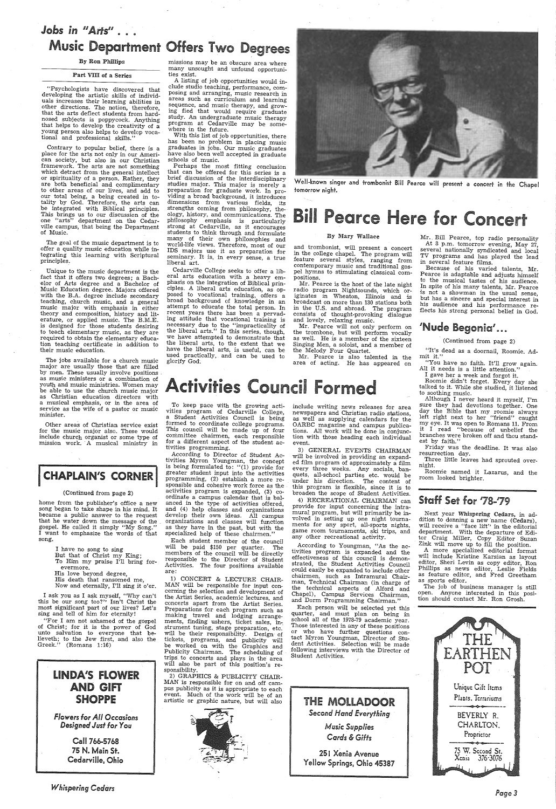## *Jobs in* II *Aris"* .. . .. Music Department Offers Two Degrees

"Psychologists have discovered that developing the artistic skills of individuals increases their learning abilities in other directions. The notion, therefore, that the arts deflect students from hard-nosed subjects is poppycock. Anything that helps to develop the creativity of a young person also helps to develop voca-<br>tional and professional skills."

By Ron Phillips

#### Part VIII of a Series

The goal of the music department is to offer a quality music education while integrating this learning with Scriptural principles.

Contrary to popular belief, there is <sup>a</sup> <sup>p</sup>lace for the arts not only in our American society, but also *in* our Christian framework. The arts are not something which detract from the general intellect or spirituality of a person. Rather, they<br>are both beneficial and complimentary to other areas of our lives, and add to our total being, a being created in to-<br>tality by God. Therefore, the arts can<br>be integrated with Biblical principles. This brings us to our discussion of the one "arts" department on the Cedar ville campus, that being the Department of Music.

Unique to the music department is the fact that it offers two degrees; a Bach-<br>elor of Arts degree and a Bachelor of<br>Music Education degree. Majors offered with the B.A. degree include secondary teaching, church music, and a general music major with emphasis in either theory and composition, history and literature, or applied music. The B.M.E. is designed for those students desiring to teach elementary music, as they are required to obtain the elementary educa- tion teaching certificate in addition to their music education.

missions may be an obscure area where many unsought and unfound opportunities exist.

A listing of job opportunities would in-<br>clude studio teaching, performance, com-<br>posing and arranging, music research in areas such as curriculum and learning<br>sequence, and music therapy, and growing fied that would require graduate<br>study. An undergraduate music therapy program at Cedarville may be some- where in the future.

With this list of job opportunities, there has been no problem in placing music graduates in jobs. Our music graduates have also been well accepted in graduate schools of music.

Perhaps the most fitting conclusion that can be offered for this series is a brief discussion of the interdisciplinary studies major. This major is merely a<br>preparation for graduate work. In pro-<br>viding a broad background, it introduces<br>dimensions from various fields, its<br>strengths coming from philosophy, theology, history, and communications. The<br>philosophy emphasis is particularly philosophy emphasized at Cedarville, as it encourages students to think through and formulate many of their own philosophies and<br>world-life views. Therefore, most of our<br>IDS majors use it as preparation for seminary. It is, in every sense, a true liberal art.

and trombonist, will present a concert in the college chapel. The program will feature several styles, ranging from contemporary music and traditional gos pel hymns to stimulating classical com-<br>positions.<br>Mr. Pearce is the host of the late night

radio program Nightsounds, which or-<br>iginates in Wheaton, Illinois and is broadcast on more than 130 stations both in the U.S. and abroad. The program consists of thought-provoking dialogue and lovely, relaxing music.

Mr. Bill Pearce, top radio personality<br>At 3 p.m. tomorrow evening, May 27,<br>several nationally syndicated and local TV programs and has played the lead in several feature films.

 Because of his varied talents, Mr. Pearce is adaptable and adjusts himself to the musical tastes of his audience. In spite of his many talents, Mr. Pearce is not a showman in the usual sense, but has a sincere and special interest in his audience and his performance reflects his strong personal belief in God.

### 'Nude Begonia'...

used practically, and can be used to Mr. Pearce is also talented in the mit it."<br>major are usually those that are filled area of acting. He has appeared on "You have no faith. It'll grow again.<br>by men. These usually involv as music ministers or a combination of youth and music ministries. Women may be able to use the church music major as Christian education directors with <sup>a</sup>musical emphasis, or in the area of service as the wife of a pastor or music minister.

Other areas of Christian service exist for the music major also. These would include church organist or some type of mission work. A musical ministry in

home from the publisher's office a new song began to take shape in his mind. It became a public answer to the request that he water down the message of the gospel. He called it simply "My Song." I want to emphasize the words of that song.

<sup>I</sup>ask you as I a~k myself, "Why can't this be our song too?'' Isn't Christ the most significant part of our lives? Let's sing and tell of him for eternity!<br>"For I am not ashamed of the gospel

Cedarville College seeks to offer a lib eral arts education with a heavy emphasis on the integration of Biblical principles. A liberal arts education, as op-<br>posed to vocational training, offers a broad background of knowledge in an attempt to educate the total person. In recent years there has been a pervading attitude that vocational training is necessary due to the "impracticality of the liberal arts." In this series, though, we have attempted to demonstrate that the liberal arts, to the extent that we have the liberal arts, is useful, can be used practically, and can be used to glorify God.

Well-known singer and trombonist Bill Pearce will present a concert in the Chapel tomorrow night.

# **Bill Pearce Here for Concert**

of Christ; for it is the power of God unto salvation to everyone that be-<br>lieveth; to the Jew first, and also the Greek." (Romans 1:16)

### LINDA'S FLOWER AND GIFT **SHOPPE**

To keep pace with the growing activities program of Cedarville College,<br>a Student Activities Council is being formed to coordinate college programs. This council will be made up of four committee chairmen, each responsible for a different aspect of the student activities programming.

#### By Mary Wallace

Mr. Pearce will not only perform on the trombone, but will perform vocally as well. He is a member of the sixteen Singing Men, a soloist, and a member of the Melody Four Quartet.

# Activities Council Formed

1) CONCERT & LECTURE CHAIR-<br>MAN will be responsible for input concerning the selection and development of<br>the Artist Series, academic lectures, and concerts apart from the Artist Series. Preparations for each program such as<br>making travel and lodging arrangements, finding ushers, ticket sales, in-. strument tuning, stage preparation, etc.<br>will be their responsibility. Design of<br>tickets, programs, and publicity will<br>be worked on with the Graphics and<br>Publicity Chairman. The scheduling of<br>trips to concerts and plays in sponsibility. 2) GRAPHICS & PUBLICITY CHAIR-MAN is responsible for on and off campus publicity as it is appropriate to each event. Much of the work will be of an artistic or graphic nature, but will also

(Continued from page 2)

"It's dead as a doornail, Roomie. Admit it."

"You have no faith. It'll grow again.

Next year Whispering Cedars, in ad-<br>dition to donning a new name (Cedars),<br>will receive a "face lift'' in the editorial department. With the departure of Editor Craig Miller, Copy Editor Suzan Zink will move up to fill the position. A more specialized editorial format

<sup>I</sup>gave her a week and forgot it. Roomie didn't forget. Every day she talked to it. While she studied, it listened to soothing music.

Although I never heard it myself, I'm<br>sure they had devotions together. One sure they had devotions together. One day the Bible that my roomie always left right next to her "friend" caught my eye. It was open to Romans 11. From it I read "because of unbelief the branches were broken off and thou standest by faith.'

editor, Sheri Levin as copy editor, Ron Phillips as news editor, Leslie Fields as feature editor, and Fred Greetham as sports editor.

The job of business manager is still<br>open. Anyone interested in this posiopen. Anyone interested in this posi- tion should contact Mr. Ron Grosh.

### **I CHAPLAIN'S CORNER** I

#### (Continued from page 2)

<sup>I</sup>have no song to sing But that of Christ my King; To Him my praise I'll bring for-

evermore.

His love beyond degree, His death that ransomed me,

Now and eternally, I'll sing it o'er.

*Flowers for All Occasions Designed Just for You* 

> Call 766-5768 75 N. Main St. Cedarville, Ohio

*Whispering Cedars* 



According to Director of Student Activities Myron Youngman, the concept is being formulated to: "(1) provide for greater student input into the activities programming, (2) establish <sup>a</sup>more responsible and cohesive work force as the activities program is expanded, (3) co-<br>ordinate a campus calendar that is bal-<br>anced in the type of activities offered, and (4) help classes and organizations<br>develop their own ideas. All campus<br>organizations and classes will function as they have in the past, but with the specialized help of these chairmen."

Each student member of the council will be paid \$150 per quarter. The members of the council will be directly responsible to the Director of Student Activities. The four positions available are:

include writing news releases for area newspapers and Christian radio stations, as well as supplying calendars for the OARBC magazine and campus publications. All work will be done in conjunction with those heading each individual event.

3) GENERAL EVENTS CHAIRMAN will be involved in providing an expanded film program of approximately a film every three weeks. Any socials, banquets, all-school parties etc. would be under his direction. The content of this program is flexible, since it is to broaden the scope of Student Activities.

4) RECREATIONAL CHAIRMAN can provide for input concerning the intra- mural program, but will primarily be in- volved in setting up one night tournaments for any sport, all-sports nights, game room tournaments, ski trips, and any other recreational activity.

According to Youngman, "As the ac tivities program is expanded and the effectiveness of this council is demonstrated, the Student Activities Council could easily be expanded to include other chairmen, such as Intramural Chairman, Technical Chairman (in charge of the technical aspects of Alford and the technical aspects of Alford and Chapel), Campus Services Chairman, and Dorm Programming Chairman." Each person· will be selected yet this quarter, and must plan on being in school all of the 1978-79 academic year.<br>Those interested in any of these positions or who have further questions contact Myron Youngman, Director of Stu dent Activities. Selection will be made following interviews with the Director of Student Activities.



*Cards* & *Gifts* 

251 Xenia Avenue Yellow Springs, Ohio 45387

Friday was the deadline. It was also resurrection day.

Three little leaves had sprouted over- night.

Roomie named it Lazarus, and the room looked brighter.

### Staff Set for *.173 .. ,.179*